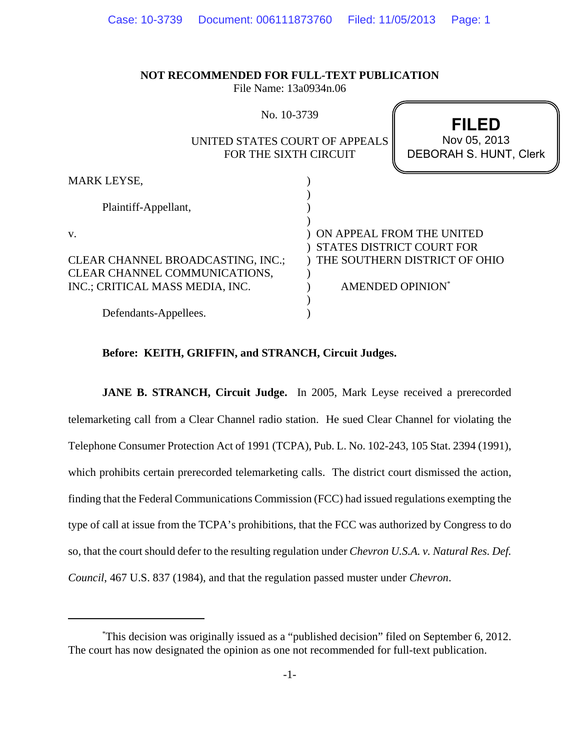| <b>NOT RECOMMENDED FOR FULL-TEXT PUBLICATION</b><br>File Name: 13a0934n.06 |                                                        |
|----------------------------------------------------------------------------|--------------------------------------------------------|
| No. 10-3739                                                                | <b>FILED</b>                                           |
| UNITED STATES COURT OF APPEALS<br>FOR THE SIXTH CIRCUIT                    | Nov 05, 2013<br><b>DEBORAH S. HUNT, Clerk</b>          |
| <b>MARK LEYSE,</b>                                                         |                                                        |
| Plaintiff-Appellant,                                                       |                                                        |
| V.                                                                         | ON APPEAL FROM THE UNITED<br>STATES DISTRICT COURT FOR |
| CLEAR CHANNEL BROADCASTING, INC.;<br>CLEAR CHANNEL COMMUNICATIONS,         | THE SOUTHERN DISTRICT OF OHIO                          |
| INC.; CRITICAL MASS MEDIA, INC.                                            | AMENDED OPINION*                                       |
| Defendants-Appellees.                                                      |                                                        |

### **Before: KEITH, GRIFFIN, and STRANCH, Circuit Judges.**

**JANE B. STRANCH, Circuit Judge.** In 2005, Mark Leyse received a prerecorded telemarketing call from a Clear Channel radio station. He sued Clear Channel for violating the Telephone Consumer Protection Act of 1991 (TCPA), Pub. L. No. 102-243, 105 Stat. 2394 (1991), which prohibits certain prerecorded telemarketing calls. The district court dismissed the action, finding that the Federal Communications Commission (FCC) had issued regulations exempting the type of call at issue from the TCPA's prohibitions, that the FCC was authorized by Congress to do so, that the court should defer to the resulting regulation under *Chevron U.S.A. v. Natural Res. Def. Council*, 467 U.S. 837 (1984), and that the regulation passed muster under *Chevron*.

<sup>\*</sup> This decision was originally issued as a "published decision" filed on September 6, 2012. The court has now designated the opinion as one not recommended for full-text publication.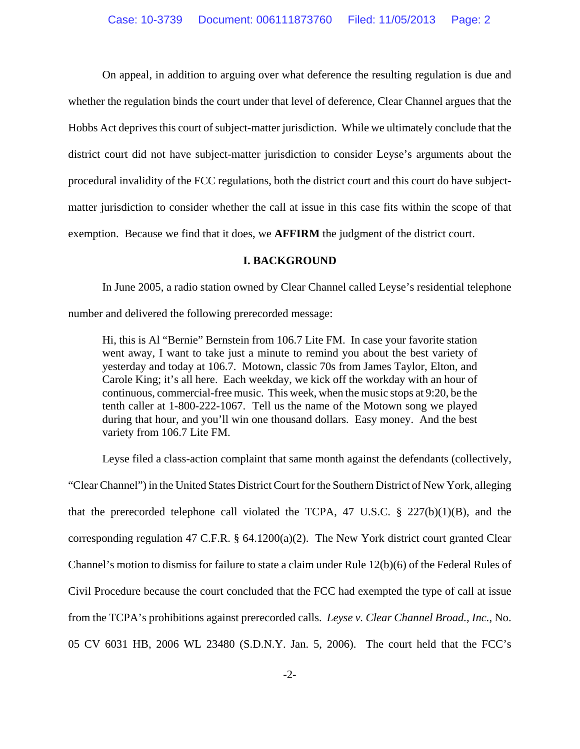On appeal, in addition to arguing over what deference the resulting regulation is due and whether the regulation binds the court under that level of deference, Clear Channel argues that the Hobbs Act deprives this court of subject-matter jurisdiction. While we ultimately conclude that the district court did not have subject-matter jurisdiction to consider Leyse's arguments about the procedural invalidity of the FCC regulations, both the district court and this court do have subjectmatter jurisdiction to consider whether the call at issue in this case fits within the scope of that exemption. Because we find that it does, we **AFFIRM** the judgment of the district court.

# **I. BACKGROUND**

In June 2005, a radio station owned by Clear Channel called Leyse's residential telephone

number and delivered the following prerecorded message:

Hi, this is Al "Bernie" Bernstein from 106.7 Lite FM. In case your favorite station went away, I want to take just a minute to remind you about the best variety of yesterday and today at 106.7. Motown, classic 70s from James Taylor, Elton, and Carole King; it's all here. Each weekday, we kick off the workday with an hour of continuous, commercial-free music. This week, when the music stops at 9:20, be the tenth caller at 1-800-222-1067. Tell us the name of the Motown song we played during that hour, and you'll win one thousand dollars. Easy money. And the best variety from 106.7 Lite FM.

Leyse filed a class-action complaint that same month against the defendants (collectively,

"Clear Channel") in the United States District Court for the Southern District of New York, alleging that the prerecorded telephone call violated the TCPA, 47 U.S.C.  $\S$  227(b)(1)(B), and the corresponding regulation 47 C.F.R. § 64.1200(a)(2). The New York district court granted Clear Channel's motion to dismiss for failure to state a claim under Rule 12(b)(6) of the Federal Rules of Civil Procedure because the court concluded that the FCC had exempted the type of call at issue from the TCPA's prohibitions against prerecorded calls. *Leyse v. Clear Channel Broad., Inc.*, No. 05 CV 6031 HB, 2006 WL 23480 (S.D.N.Y. Jan. 5, 2006). The court held that the FCC's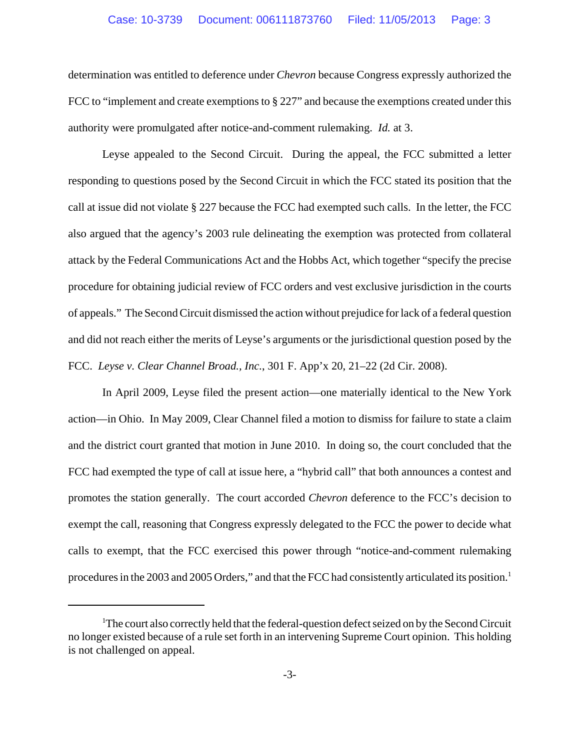determination was entitled to deference under *Chevron* because Congress expressly authorized the FCC to "implement and create exemptions to § 227" and because the exemptions created under this authority were promulgated after notice-and-comment rulemaking. *Id.* at 3.

Leyse appealed to the Second Circuit. During the appeal, the FCC submitted a letter responding to questions posed by the Second Circuit in which the FCC stated its position that the call at issue did not violate § 227 because the FCC had exempted such calls. In the letter, the FCC also argued that the agency's 2003 rule delineating the exemption was protected from collateral attack by the Federal Communications Act and the Hobbs Act, which together "specify the precise procedure for obtaining judicial review of FCC orders and vest exclusive jurisdiction in the courts of appeals." The Second Circuit dismissed the action without prejudice for lack of a federal question and did not reach either the merits of Leyse's arguments or the jurisdictional question posed by the FCC. *Leyse v. Clear Channel Broad., Inc.*, 301 F. App'x 20, 21–22 (2d Cir. 2008).

In April 2009, Leyse filed the present action—one materially identical to the New York action—in Ohio. In May 2009, Clear Channel filed a motion to dismiss for failure to state a claim and the district court granted that motion in June 2010. In doing so, the court concluded that the FCC had exempted the type of call at issue here, a "hybrid call" that both announces a contest and promotes the station generally. The court accorded *Chevron* deference to the FCC's decision to exempt the call, reasoning that Congress expressly delegated to the FCC the power to decide what calls to exempt, that the FCC exercised this power through "notice-and-comment rulemaking procedures in the 2003 and 2005 Orders," and that the FCC had consistently articulated its position.<sup>1</sup>

<sup>&</sup>lt;sup>1</sup>The court also correctly held that the federal-question defect seized on by the Second Circuit no longer existed because of a rule set forth in an intervening Supreme Court opinion. This holding is not challenged on appeal.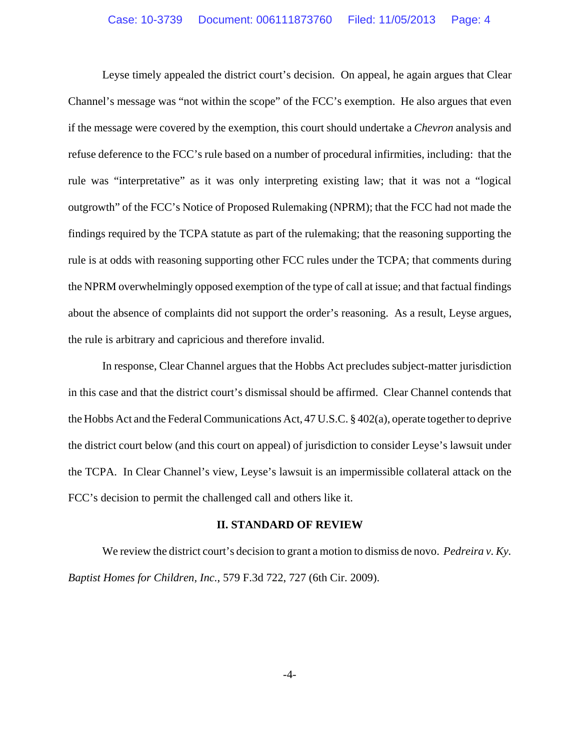Leyse timely appealed the district court's decision. On appeal, he again argues that Clear Channel's message was "not within the scope" of the FCC's exemption. He also argues that even if the message were covered by the exemption, this court should undertake a *Chevron* analysis and refuse deference to the FCC's rule based on a number of procedural infirmities, including: that the rule was "interpretative" as it was only interpreting existing law; that it was not a "logical outgrowth" of the FCC's Notice of Proposed Rulemaking (NPRM); that the FCC had not made the findings required by the TCPA statute as part of the rulemaking; that the reasoning supporting the rule is at odds with reasoning supporting other FCC rules under the TCPA; that comments during the NPRM overwhelmingly opposed exemption of the type of call at issue; and that factual findings about the absence of complaints did not support the order's reasoning. As a result, Leyse argues, the rule is arbitrary and capricious and therefore invalid.

In response, Clear Channel argues that the Hobbs Act precludes subject-matter jurisdiction in this case and that the district court's dismissal should be affirmed. Clear Channel contends that the Hobbs Act and the Federal Communications Act, 47 U.S.C. § 402(a), operate together to deprive the district court below (and this court on appeal) of jurisdiction to consider Leyse's lawsuit under the TCPA. In Clear Channel's view, Leyse's lawsuit is an impermissible collateral attack on the FCC's decision to permit the challenged call and others like it.

### **II. STANDARD OF REVIEW**

We review the district court's decision to grant a motion to dismiss de novo. *Pedreira v. Ky. Baptist Homes for Children, Inc.*, 579 F.3d 722, 727 (6th Cir. 2009).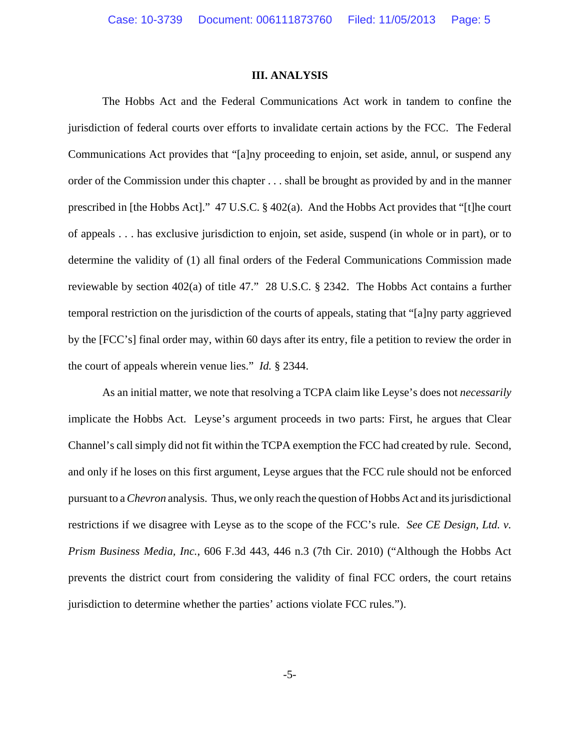### **III. ANALYSIS**

The Hobbs Act and the Federal Communications Act work in tandem to confine the jurisdiction of federal courts over efforts to invalidate certain actions by the FCC. The Federal Communications Act provides that "[a]ny proceeding to enjoin, set aside, annul, or suspend any order of the Commission under this chapter . . . shall be brought as provided by and in the manner prescribed in [the Hobbs Act]." 47 U.S.C. § 402(a). And the Hobbs Act provides that "[t]he court of appeals . . . has exclusive jurisdiction to enjoin, set aside, suspend (in whole or in part), or to determine the validity of (1) all final orders of the Federal Communications Commission made reviewable by section 402(a) of title 47." 28 U.S.C. § 2342. The Hobbs Act contains a further temporal restriction on the jurisdiction of the courts of appeals, stating that "[a]ny party aggrieved by the [FCC's] final order may, within 60 days after its entry, file a petition to review the order in the court of appeals wherein venue lies." *Id.* § 2344.

As an initial matter, we note that resolving a TCPA claim like Leyse's does not *necessarily* implicate the Hobbs Act. Leyse's argument proceeds in two parts: First, he argues that Clear Channel's call simply did not fit within the TCPA exemption the FCC had created by rule. Second, and only if he loses on this first argument, Leyse argues that the FCC rule should not be enforced pursuant to a *Chevron* analysis. Thus, we only reach the question of Hobbs Act and its jurisdictional restrictions if we disagree with Leyse as to the scope of the FCC's rule. *See CE Design, Ltd. v. Prism Business Media, Inc.*, 606 F.3d 443, 446 n.3 (7th Cir. 2010) ("Although the Hobbs Act prevents the district court from considering the validity of final FCC orders, the court retains jurisdiction to determine whether the parties' actions violate FCC rules.").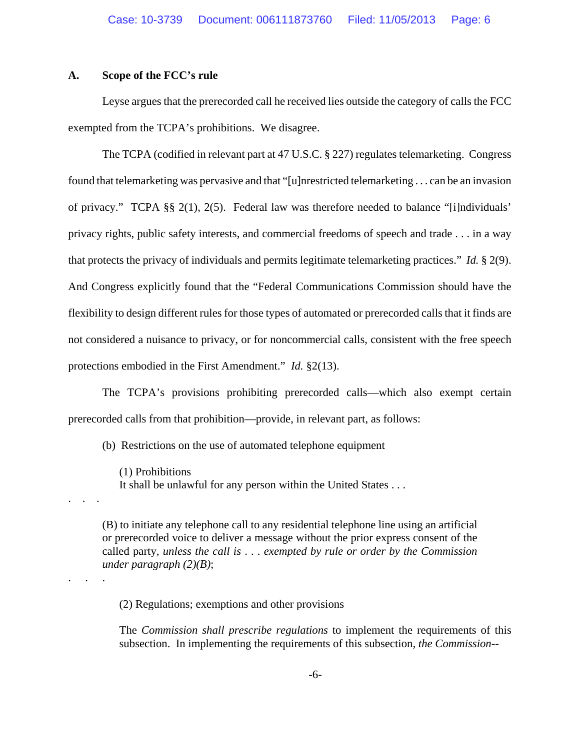# **A. Scope of the FCC's rule**

. . .

. . . .

Leyse argues that the prerecorded call he received lies outside the category of calls the FCC exempted from the TCPA's prohibitions. We disagree.

The TCPA (codified in relevant part at 47 U.S.C. § 227) regulates telemarketing. Congress found that telemarketing was pervasive and that "[u]nrestricted telemarketing . . . can be an invasion of privacy." TCPA §§ 2(1), 2(5). Federal law was therefore needed to balance "[i]ndividuals' privacy rights, public safety interests, and commercial freedoms of speech and trade . . . in a way that protects the privacy of individuals and permits legitimate telemarketing practices." *Id.* § 2(9). And Congress explicitly found that the "Federal Communications Commission should have the flexibility to design different rules for those types of automated or prerecorded calls that it finds are not considered a nuisance to privacy, or for noncommercial calls, consistent with the free speech protections embodied in the First Amendment." *Id.* §2(13).

The TCPA's provisions prohibiting prerecorded calls—which also exempt certain prerecorded calls from that prohibition—provide, in relevant part, as follows:

(b) Restrictions on the use of automated telephone equipment

(1) Prohibitions It shall be unlawful for any person within the United States . . .

(B) to initiate any telephone call to any residential telephone line using an artificial or prerecorded voice to deliver a message without the prior express consent of the called party, *unless the call is* . . . *exempted by rule or order by the Commission under paragraph (2)(B)*;

(2) Regulations; exemptions and other provisions

The *Commission shall prescribe regulations* to implement the requirements of this subsection. In implementing the requirements of this subsection, *the Commission*--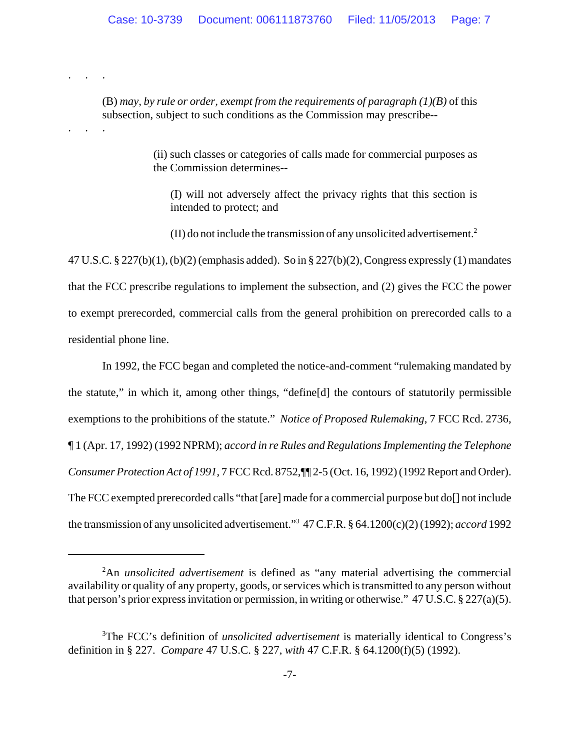(B) *may, by rule or order, exempt from the requirements of paragraph (1)(B)* of this subsection, subject to such conditions as the Commission may prescribe--

. . . .

. . . .

(ii) such classes or categories of calls made for commercial purposes as the Commission determines--

(I) will not adversely affect the privacy rights that this section is intended to protect; and

(II) do not include the transmission of any unsolicited advertisement.2

47 U.S.C. § 227(b)(1), (b)(2) (emphasis added). So in § 227(b)(2), Congress expressly (1) mandates that the FCC prescribe regulations to implement the subsection, and (2) gives the FCC the power to exempt prerecorded, commercial calls from the general prohibition on prerecorded calls to a residential phone line.

In 1992, the FCC began and completed the notice-and-comment "rulemaking mandated by the statute," in which it, among other things, "define[d] the contours of statutorily permissible exemptions to the prohibitions of the statute." *Notice of Proposed Rulemaking*, 7 FCC Rcd. 2736, ¶ 1 (Apr. 17, 1992) (1992 NPRM); *accord in re Rules and Regulations Implementing the Telephone Consumer Protection Act of 1991*, 7 FCC Rcd. 8752,¶¶ 2-5 (Oct. 16, 1992) (1992 Report and Order). The FCC exempted prerecorded calls "that [are] made for a commercial purpose but do[] not include the transmission of any unsolicited advertisement."3 47 C.F.R. § 64.1200(c)(2) (1992); *accord* 1992

<sup>2</sup> An *unsolicited advertisement* is defined as "any material advertising the commercial availability or quality of any property, goods, or services which is transmitted to any person without that person's prior express invitation or permission, in writing or otherwise." 47 U.S.C. § 227(a)(5).

<sup>&</sup>lt;sup>3</sup>The FCC's definition of *unsolicited advertisement* is materially identical to Congress's definition in § 227. *Compare* 47 U.S.C. § 227, *with* 47 C.F.R. § 64.1200(f)(5) (1992).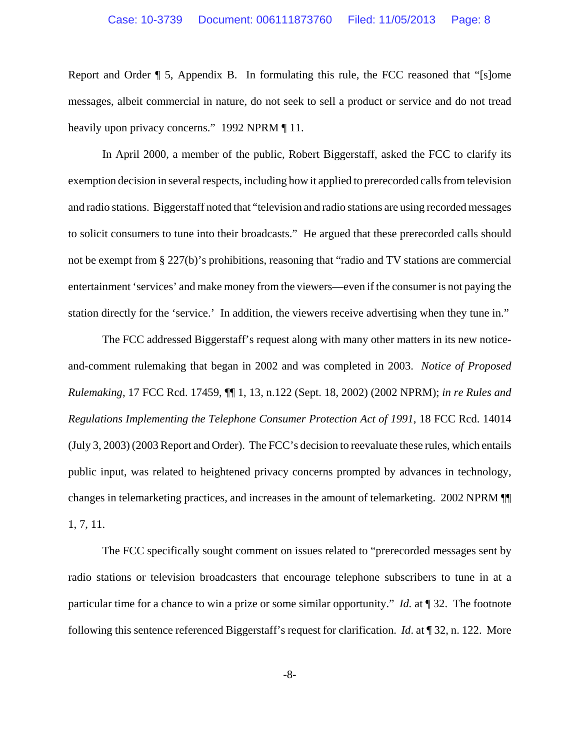Report and Order ¶ 5, Appendix B. In formulating this rule, the FCC reasoned that "[s]ome messages, albeit commercial in nature, do not seek to sell a product or service and do not tread heavily upon privacy concerns." 1992 NPRM [11.]

In April 2000, a member of the public, Robert Biggerstaff, asked the FCC to clarify its exemption decision in several respects, including how it applied to prerecorded calls from television and radio stations. Biggerstaff noted that "television and radio stations are using recorded messages to solicit consumers to tune into their broadcasts." He argued that these prerecorded calls should not be exempt from § 227(b)'s prohibitions, reasoning that "radio and TV stations are commercial entertainment 'services' and make money from the viewers—even if the consumer is not paying the station directly for the 'service.' In addition, the viewers receive advertising when they tune in."

The FCC addressed Biggerstaff's request along with many other matters in its new noticeand-comment rulemaking that began in 2002 and was completed in 2003. *Notice of Proposed Rulemaking*, 17 FCC Rcd. 17459, ¶¶ 1, 13, n.122 (Sept. 18, 2002) (2002 NPRM); *in re Rules and Regulations Implementing the Telephone Consumer Protection Act of 1991*, 18 FCC Rcd. 14014 (July 3, 2003) (2003 Report and Order). The FCC's decision to reevaluate these rules, which entails public input, was related to heightened privacy concerns prompted by advances in technology, changes in telemarketing practices, and increases in the amount of telemarketing. 2002 NPRM ¶¶ 1, 7, 11.

The FCC specifically sought comment on issues related to "prerecorded messages sent by radio stations or television broadcasters that encourage telephone subscribers to tune in at a particular time for a chance to win a prize or some similar opportunity." *Id.* at ¶ 32. The footnote following this sentence referenced Biggerstaff's request for clarification. *Id*. at ¶ 32, n. 122. More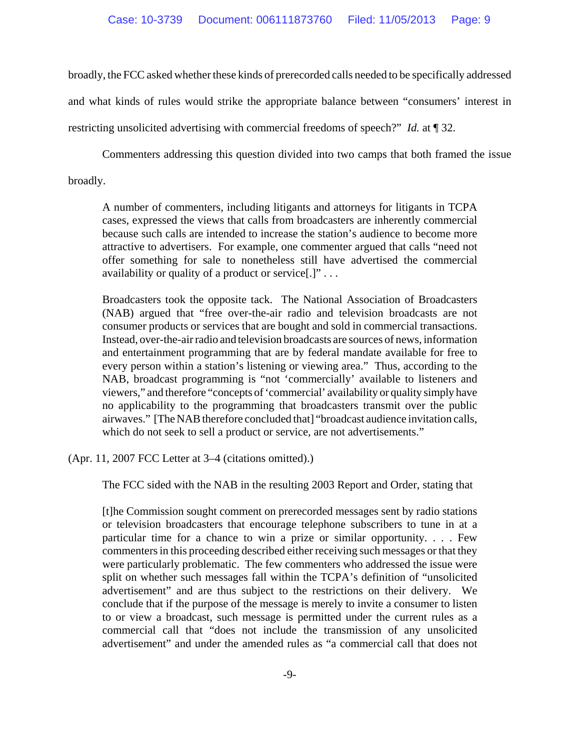broadly, the FCC asked whether these kinds of prerecorded calls needed to be specifically addressed and what kinds of rules would strike the appropriate balance between "consumers' interest in restricting unsolicited advertising with commercial freedoms of speech?" *Id.* at ¶ 32.

Commenters addressing this question divided into two camps that both framed the issue broadly.

A number of commenters, including litigants and attorneys for litigants in TCPA cases, expressed the views that calls from broadcasters are inherently commercial because such calls are intended to increase the station's audience to become more attractive to advertisers. For example, one commenter argued that calls "need not offer something for sale to nonetheless still have advertised the commercial availability or quality of a product or service[.]" . . .

Broadcasters took the opposite tack. The National Association of Broadcasters (NAB) argued that "free over-the-air radio and television broadcasts are not consumer products or services that are bought and sold in commercial transactions. Instead, over-the-air radio and television broadcasts are sources of news, information and entertainment programming that are by federal mandate available for free to every person within a station's listening or viewing area." Thus, according to the NAB, broadcast programming is "not 'commercially' available to listeners and viewers," and therefore "concepts of 'commercial' availability or quality simply have no applicability to the programming that broadcasters transmit over the public airwaves." [The NAB therefore concluded that] "broadcast audience invitation calls, which do not seek to sell a product or service, are not advertisements."

(Apr. 11, 2007 FCC Letter at 3–4 (citations omitted).)

The FCC sided with the NAB in the resulting 2003 Report and Order, stating that

[t]he Commission sought comment on prerecorded messages sent by radio stations or television broadcasters that encourage telephone subscribers to tune in at a particular time for a chance to win a prize or similar opportunity. . . . Few commenters in this proceeding described either receiving such messages or that they were particularly problematic. The few commenters who addressed the issue were split on whether such messages fall within the TCPA's definition of "unsolicited advertisement" and are thus subject to the restrictions on their delivery. We conclude that if the purpose of the message is merely to invite a consumer to listen to or view a broadcast, such message is permitted under the current rules as a commercial call that "does not include the transmission of any unsolicited advertisement" and under the amended rules as "a commercial call that does not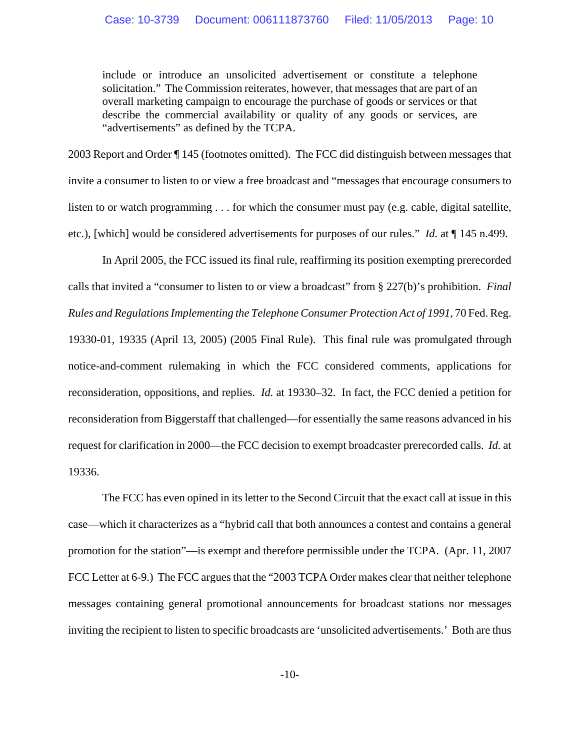include or introduce an unsolicited advertisement or constitute a telephone solicitation." The Commission reiterates, however, that messages that are part of an overall marketing campaign to encourage the purchase of goods or services or that describe the commercial availability or quality of any goods or services, are "advertisements" as defined by the TCPA.

2003 Report and Order ¶ 145 (footnotes omitted). The FCC did distinguish between messages that invite a consumer to listen to or view a free broadcast and "messages that encourage consumers to listen to or watch programming . . . for which the consumer must pay (e.g. cable, digital satellite, etc.), [which] would be considered advertisements for purposes of our rules." *Id.* at ¶ 145 n.499.

In April 2005, the FCC issued its final rule, reaffirming its position exempting prerecorded calls that invited a "consumer to listen to or view a broadcast" from § 227(b)'s prohibition. *Final Rules and Regulations Implementing the Telephone Consumer Protection Act of 1991*, 70 Fed. Reg. 19330-01, 19335 (April 13, 2005) (2005 Final Rule). This final rule was promulgated through notice-and-comment rulemaking in which the FCC considered comments, applications for reconsideration, oppositions, and replies. *Id.* at 19330–32. In fact, the FCC denied a petition for reconsideration from Biggerstaff that challenged—for essentially the same reasons advanced in his request for clarification in 2000—the FCC decision to exempt broadcaster prerecorded calls. *Id.* at 19336.

The FCC has even opined in its letter to the Second Circuit that the exact call at issue in this case—which it characterizes as a "hybrid call that both announces a contest and contains a general promotion for the station"—is exempt and therefore permissible under the TCPA. (Apr. 11, 2007 FCC Letter at 6-9.) The FCC argues that the "2003 TCPA Order makes clear that neither telephone messages containing general promotional announcements for broadcast stations nor messages inviting the recipient to listen to specific broadcasts are 'unsolicited advertisements.' Both are thus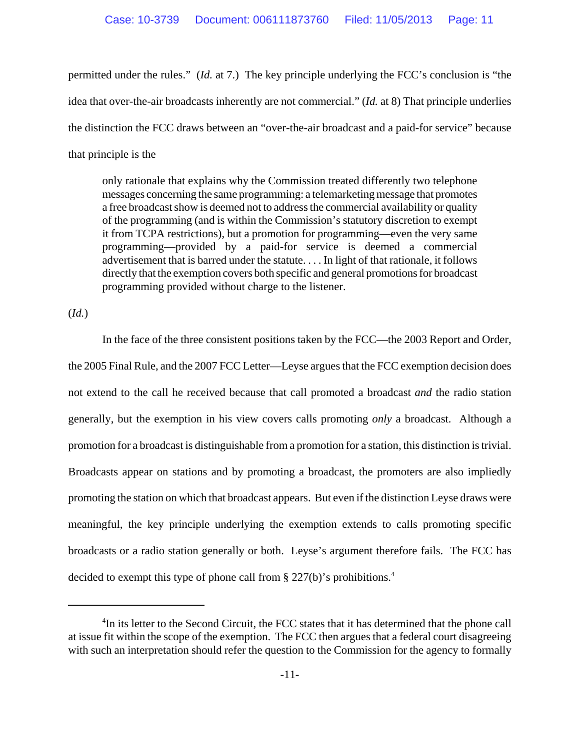permitted under the rules." (*Id.* at 7.) The key principle underlying the FCC's conclusion is "the idea that over-the-air broadcasts inherently are not commercial." (*Id.* at 8) That principle underlies the distinction the FCC draws between an "over-the-air broadcast and a paid-for service" because that principle is the

only rationale that explains why the Commission treated differently two telephone messages concerning the same programming: a telemarketing message that promotes a free broadcast show is deemed not to address the commercial availability or quality of the programming (and is within the Commission's statutory discretion to exempt it from TCPA restrictions), but a promotion for programming—even the very same programming—provided by a paid-for service is deemed a commercial advertisement that is barred under the statute. . . . In light of that rationale, it follows directly that the exemption covers both specific and general promotions for broadcast programming provided without charge to the listener.

(*Id.*)

In the face of the three consistent positions taken by the FCC—the 2003 Report and Order, the 2005 Final Rule, and the 2007 FCC Letter—Leyse argues that the FCC exemption decision does not extend to the call he received because that call promoted a broadcast *and* the radio station generally, but the exemption in his view covers calls promoting *only* a broadcast. Although a promotion for a broadcast is distinguishable from a promotion for a station, this distinction is trivial. Broadcasts appear on stations and by promoting a broadcast, the promoters are also impliedly promoting the station on which that broadcast appears. But even if the distinction Leyse draws were meaningful, the key principle underlying the exemption extends to calls promoting specific broadcasts or a radio station generally or both. Leyse's argument therefore fails. The FCC has decided to exempt this type of phone call from § 227(b)'s prohibitions.<sup>4</sup>

<sup>&</sup>lt;sup>4</sup>In its letter to the Second Circuit, the FCC states that it has determined that the phone call at issue fit within the scope of the exemption. The FCC then argues that a federal court disagreeing with such an interpretation should refer the question to the Commission for the agency to formally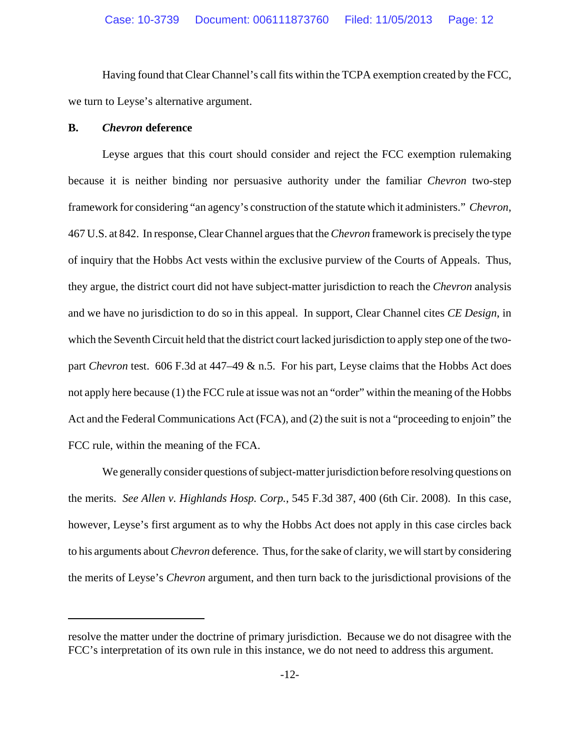Having found that Clear Channel's call fits within the TCPA exemption created by the FCC, we turn to Leyse's alternative argument.

### **B.** *Chevron* **deference**

Leyse argues that this court should consider and reject the FCC exemption rulemaking because it is neither binding nor persuasive authority under the familiar *Chevron* two-step framework for considering "an agency's construction of the statute which it administers." *Chevron*, 467 U.S. at 842. In response, Clear Channel argues that the *Chevron* framework is precisely the type of inquiry that the Hobbs Act vests within the exclusive purview of the Courts of Appeals. Thus, they argue, the district court did not have subject-matter jurisdiction to reach the *Chevron* analysis and we have no jurisdiction to do so in this appeal. In support, Clear Channel cites *CE Design*, in which the Seventh Circuit held that the district court lacked jurisdiction to apply step one of the twopart *Chevron* test. 606 F.3d at 447–49 & n.5. For his part, Leyse claims that the Hobbs Act does not apply here because (1) the FCC rule at issue was not an "order" within the meaning of the Hobbs Act and the Federal Communications Act (FCA), and (2) the suit is not a "proceeding to enjoin" the FCC rule, within the meaning of the FCA.

We generally consider questions of subject-matter jurisdiction before resolving questions on the merits. *See Allen v. Highlands Hosp. Corp.*, 545 F.3d 387, 400 (6th Cir. 2008). In this case, however, Leyse's first argument as to why the Hobbs Act does not apply in this case circles back to his arguments about *Chevron* deference. Thus, for the sake of clarity, we will start by considering the merits of Leyse's *Chevron* argument, and then turn back to the jurisdictional provisions of the

resolve the matter under the doctrine of primary jurisdiction. Because we do not disagree with the FCC's interpretation of its own rule in this instance, we do not need to address this argument.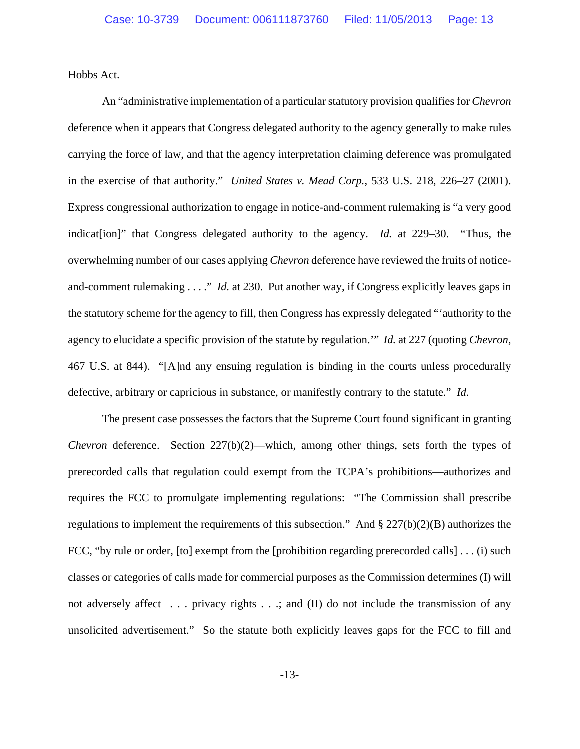Hobbs Act.

An "administrative implementation of a particular statutory provision qualifies for *Chevron* deference when it appears that Congress delegated authority to the agency generally to make rules carrying the force of law, and that the agency interpretation claiming deference was promulgated in the exercise of that authority." *United States v. Mead Corp.*, 533 U.S. 218, 226–27 (2001). Express congressional authorization to engage in notice-and-comment rulemaking is "a very good indication]" that Congress delegated authority to the agency. *Id.* at 229–30. "Thus, the overwhelming number of our cases applying *Chevron* deference have reviewed the fruits of noticeand-comment rulemaking . . . ." *Id.* at 230. Put another way, if Congress explicitly leaves gaps in the statutory scheme for the agency to fill, then Congress has expressly delegated "'authority to the agency to elucidate a specific provision of the statute by regulation.'" *Id.* at 227 (quoting *Chevron*, 467 U.S. at 844). "[A]nd any ensuing regulation is binding in the courts unless procedurally defective, arbitrary or capricious in substance, or manifestly contrary to the statute." *Id.*

The present case possesses the factors that the Supreme Court found significant in granting *Chevron* deference. Section 227(b)(2)—which, among other things, sets forth the types of prerecorded calls that regulation could exempt from the TCPA's prohibitions—authorizes and requires the FCC to promulgate implementing regulations: "The Commission shall prescribe regulations to implement the requirements of this subsection." And § 227(b)(2)(B) authorizes the FCC, "by rule or order, [to] exempt from the [prohibition regarding prerecorded calls] . . . (i) such classes or categories of calls made for commercial purposes as the Commission determines (I) will not adversely affect . . . privacy rights . . .; and (II) do not include the transmission of any unsolicited advertisement." So the statute both explicitly leaves gaps for the FCC to fill and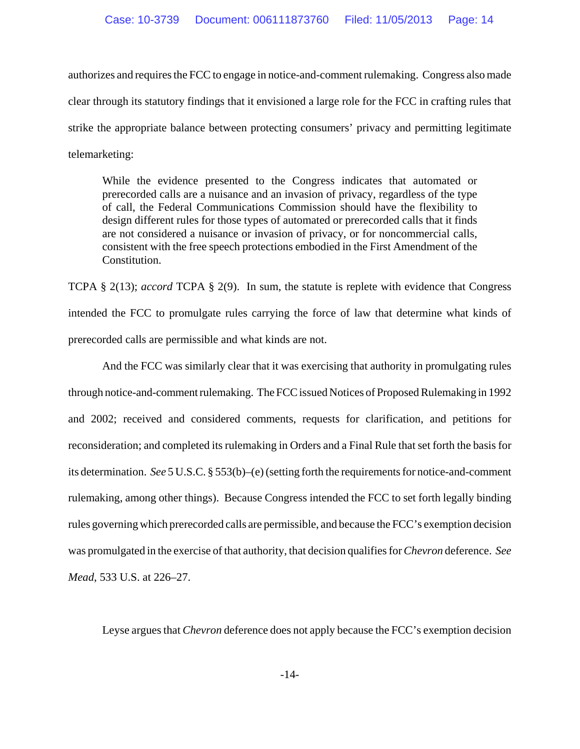authorizes and requires the FCC to engage in notice-and-comment rulemaking. Congress also made clear through its statutory findings that it envisioned a large role for the FCC in crafting rules that strike the appropriate balance between protecting consumers' privacy and permitting legitimate telemarketing:

While the evidence presented to the Congress indicates that automated or prerecorded calls are a nuisance and an invasion of privacy, regardless of the type of call, the Federal Communications Commission should have the flexibility to design different rules for those types of automated or prerecorded calls that it finds are not considered a nuisance or invasion of privacy, or for noncommercial calls, consistent with the free speech protections embodied in the First Amendment of the Constitution.

TCPA § 2(13); *accord* TCPA § 2(9). In sum, the statute is replete with evidence that Congress intended the FCC to promulgate rules carrying the force of law that determine what kinds of prerecorded calls are permissible and what kinds are not.

And the FCC was similarly clear that it was exercising that authority in promulgating rules through notice-and-comment rulemaking. The FCC issued Notices of Proposed Rulemaking in 1992 and 2002; received and considered comments, requests for clarification, and petitions for reconsideration; and completed its rulemaking in Orders and a Final Rule that set forth the basis for its determination. *See* 5 U.S.C. § 553(b)–(e) (setting forth the requirements for notice-and-comment rulemaking, among other things). Because Congress intended the FCC to set forth legally binding rules governing which prerecorded calls are permissible, and because the FCC's exemption decision was promulgated in the exercise of that authority, that decision qualifies for *Chevron* deference. *See Mead*, 533 U.S. at 226–27.

Leyse argues that *Chevron* deference does not apply because the FCC's exemption decision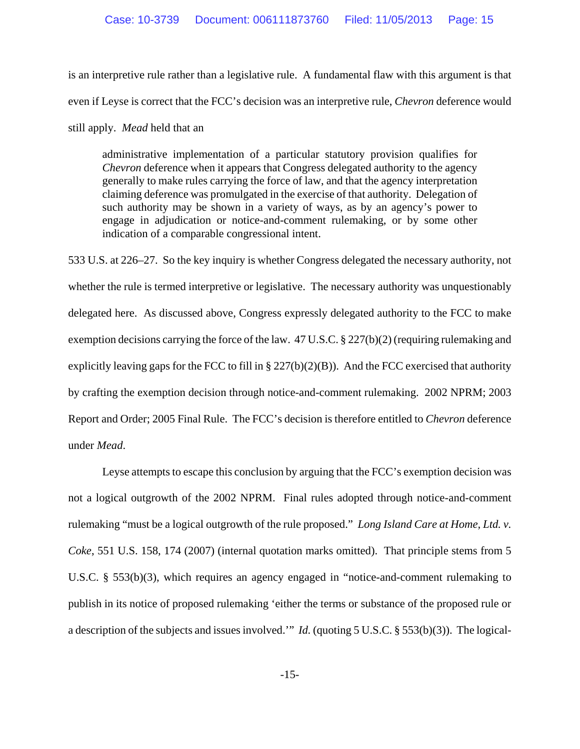is an interpretive rule rather than a legislative rule. A fundamental flaw with this argument is that even if Leyse is correct that the FCC's decision was an interpretive rule, *Chevron* deference would still apply. *Mead* held that an

administrative implementation of a particular statutory provision qualifies for *Chevron* deference when it appears that Congress delegated authority to the agency generally to make rules carrying the force of law, and that the agency interpretation claiming deference was promulgated in the exercise of that authority. Delegation of such authority may be shown in a variety of ways, as by an agency's power to engage in adjudication or notice-and-comment rulemaking, or by some other indication of a comparable congressional intent.

533 U.S. at 226–27. So the key inquiry is whether Congress delegated the necessary authority, not whether the rule is termed interpretive or legislative. The necessary authority was unquestionably delegated here. As discussed above, Congress expressly delegated authority to the FCC to make exemption decisions carrying the force of the law. 47 U.S.C. § 227(b)(2) (requiring rulemaking and explicitly leaving gaps for the FCC to fill in  $\S 227(b)(2)(B)$ ). And the FCC exercised that authority by crafting the exemption decision through notice-and-comment rulemaking. 2002 NPRM; 2003 Report and Order; 2005 Final Rule. The FCC's decision is therefore entitled to *Chevron* deference under *Mead*.

Leyse attempts to escape this conclusion by arguing that the FCC's exemption decision was not a logical outgrowth of the 2002 NPRM. Final rules adopted through notice-and-comment rulemaking "must be a logical outgrowth of the rule proposed." *Long Island Care at Home, Ltd. v. Coke*, 551 U.S. 158, 174 (2007) (internal quotation marks omitted). That principle stems from 5 U.S.C. § 553(b)(3), which requires an agency engaged in "notice-and-comment rulemaking to publish in its notice of proposed rulemaking 'either the terms or substance of the proposed rule or a description of the subjects and issues involved.'" *Id.* (quoting 5 U.S.C. § 553(b)(3)). The logical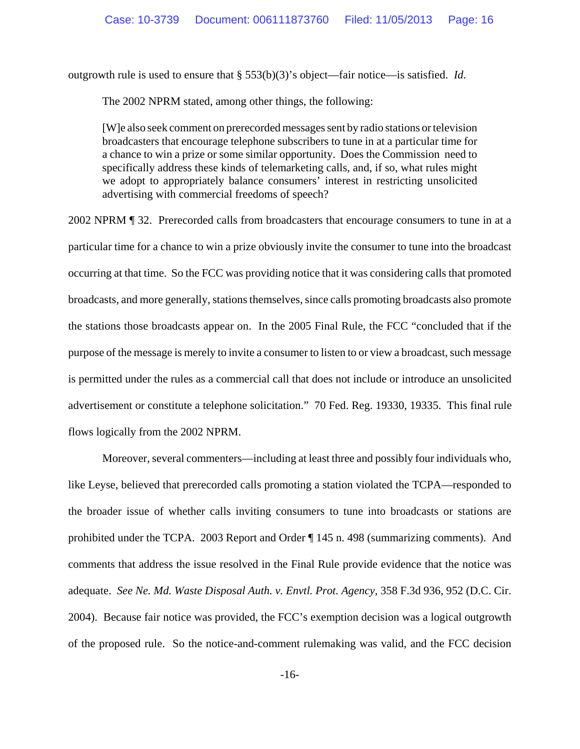outgrowth rule is used to ensure that § 553(b)(3)'s object—fair notice—is satisfied. *Id.*

The 2002 NPRM stated, among other things, the following:

[W]e also seek comment on prerecorded messages sent by radio stations or television broadcasters that encourage telephone subscribers to tune in at a particular time for a chance to win a prize or some similar opportunity. Does the Commission need to specifically address these kinds of telemarketing calls, and, if so, what rules might we adopt to appropriately balance consumers' interest in restricting unsolicited advertising with commercial freedoms of speech?

2002 NPRM ¶ 32. Prerecorded calls from broadcasters that encourage consumers to tune in at a particular time for a chance to win a prize obviously invite the consumer to tune into the broadcast occurring at that time. So the FCC was providing notice that it was considering calls that promoted broadcasts, and more generally, stations themselves, since calls promoting broadcasts also promote the stations those broadcasts appear on. In the 2005 Final Rule, the FCC "concluded that if the purpose of the message is merely to invite a consumer to listen to or view a broadcast, such message is permitted under the rules as a commercial call that does not include or introduce an unsolicited advertisement or constitute a telephone solicitation." 70 Fed. Reg. 19330, 19335. This final rule flows logically from the 2002 NPRM.

Moreover, several commenters—including at least three and possibly four individuals who, like Leyse, believed that prerecorded calls promoting a station violated the TCPA—responded to the broader issue of whether calls inviting consumers to tune into broadcasts or stations are prohibited under the TCPA. 2003 Report and Order ¶ 145 n. 498 (summarizing comments). And comments that address the issue resolved in the Final Rule provide evidence that the notice was adequate. *See Ne. Md. Waste Disposal Auth. v. Envtl. Prot. Agency*, 358 F.3d 936, 952 (D.C. Cir. 2004). Because fair notice was provided, the FCC's exemption decision was a logical outgrowth of the proposed rule. So the notice-and-comment rulemaking was valid, and the FCC decision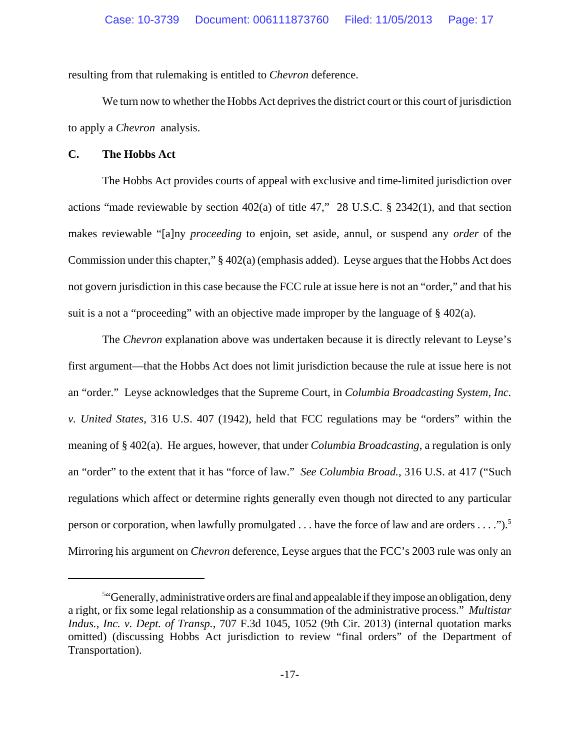resulting from that rulemaking is entitled to *Chevron* deference.

We turn now to whether the Hobbs Act deprives the district court or this court of jurisdiction to apply a *Chevron* analysis.

## **C. The Hobbs Act**

The Hobbs Act provides courts of appeal with exclusive and time-limited jurisdiction over actions "made reviewable by section 402(a) of title 47," 28 U.S.C. § 2342(1), and that section makes reviewable "[a]ny *proceeding* to enjoin, set aside, annul, or suspend any *order* of the Commission under this chapter," § 402(a) (emphasis added). Leyse argues that the Hobbs Act does not govern jurisdiction in this case because the FCC rule at issue here is not an "order," and that his suit is a not a "proceeding" with an objective made improper by the language of § 402(a).

The *Chevron* explanation above was undertaken because it is directly relevant to Leyse's first argument—that the Hobbs Act does not limit jurisdiction because the rule at issue here is not an "order." Leyse acknowledges that the Supreme Court, in *Columbia Broadcasting System, Inc. v. United States*, 316 U.S. 407 (1942), held that FCC regulations may be "orders" within the meaning of § 402(a). He argues, however, that under *Columbia Broadcasting*, a regulation is only an "order" to the extent that it has "force of law." *See Columbia Broad.*, 316 U.S. at 417 ("Such regulations which affect or determine rights generally even though not directed to any particular person or corporation, when lawfully promulgated . . . have the force of law and are orders . . . .").<sup>5</sup> Mirroring his argument on *Chevron* deference, Leyse argues that the FCC's 2003 rule was only an

<sup>&</sup>lt;sup>5"</sup>Generally, administrative orders are final and appealable if they impose an obligation, deny a right, or fix some legal relationship as a consummation of the administrative process." *Multistar Indus., Inc. v. Dept. of Transp.*, 707 F.3d 1045, 1052 (9th Cir. 2013) (internal quotation marks omitted) (discussing Hobbs Act jurisdiction to review "final orders" of the Department of Transportation).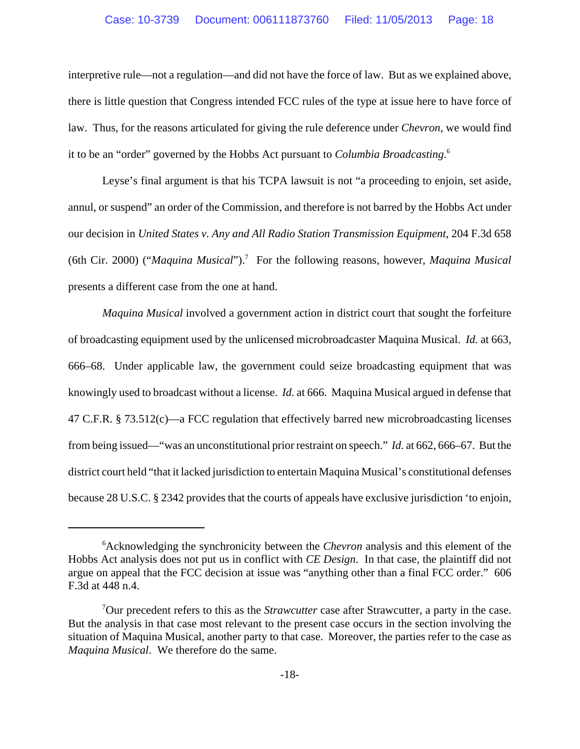interpretive rule—not a regulation—and did not have the force of law. But as we explained above, there is little question that Congress intended FCC rules of the type at issue here to have force of law. Thus, for the reasons articulated for giving the rule deference under *Chevron*, we would find it to be an "order" governed by the Hobbs Act pursuant to *Columbia Broadcasting*. 6

Leyse's final argument is that his TCPA lawsuit is not "a proceeding to enjoin, set aside, annul, or suspend" an order of the Commission, and therefore is not barred by the Hobbs Act under our decision in *United States v. Any and All Radio Station Transmission Equipment*, 204 F.3d 658 (6th Cir. 2000) ("*Maquina Musical*").7 For the following reasons, however, *Maquina Musical* presents a different case from the one at hand.

*Maquina Musical* involved a government action in district court that sought the forfeiture of broadcasting equipment used by the unlicensed microbroadcaster Maquina Musical. *Id.* at 663, 666–68. Under applicable law, the government could seize broadcasting equipment that was knowingly used to broadcast without a license. *Id.* at 666. Maquina Musical argued in defense that 47 C.F.R. § 73.512(c)—a FCC regulation that effectively barred new microbroadcasting licenses from being issued—"was an unconstitutional prior restraint on speech." *Id.* at 662, 666–67. But the district court held "that it lacked jurisdiction to entertain Maquina Musical's constitutional defenses because 28 U.S.C. § 2342 provides that the courts of appeals have exclusive jurisdiction 'to enjoin,

<sup>6</sup> Acknowledging the synchronicity between the *Chevron* analysis and this element of the Hobbs Act analysis does not put us in conflict with *CE Design*. In that case, the plaintiff did not argue on appeal that the FCC decision at issue was "anything other than a final FCC order." 606 F.3d at 448 n.4.

<sup>7</sup> Our precedent refers to this as the *Strawcutter* case after Strawcutter, a party in the case. But the analysis in that case most relevant to the present case occurs in the section involving the situation of Maquina Musical, another party to that case. Moreover, the parties refer to the case as *Maquina Musical*. We therefore do the same.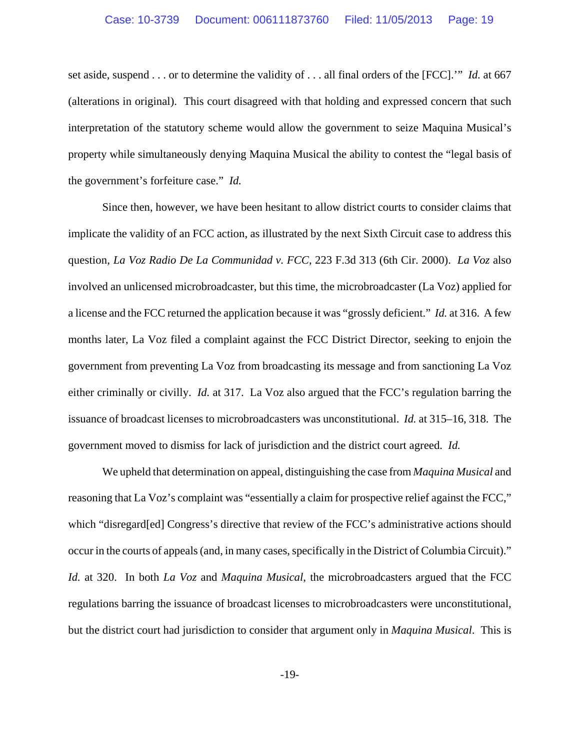set aside, suspend . . . or to determine the validity of . . . all final orders of the [FCC].'" *Id.* at 667 (alterations in original). This court disagreed with that holding and expressed concern that such interpretation of the statutory scheme would allow the government to seize Maquina Musical's property while simultaneously denying Maquina Musical the ability to contest the "legal basis of the government's forfeiture case." *Id.*

Since then, however, we have been hesitant to allow district courts to consider claims that implicate the validity of an FCC action, as illustrated by the next Sixth Circuit case to address this question, *La Voz Radio De La Communidad v. FCC*, 223 F.3d 313 (6th Cir. 2000). *La Voz* also involved an unlicensed microbroadcaster, but this time, the microbroadcaster (La Voz) applied for a license and the FCC returned the application because it was "grossly deficient." *Id.* at 316. A few months later, La Voz filed a complaint against the FCC District Director, seeking to enjoin the government from preventing La Voz from broadcasting its message and from sanctioning La Voz either criminally or civilly. *Id.* at 317. La Voz also argued that the FCC's regulation barring the issuance of broadcast licenses to microbroadcasters was unconstitutional. *Id.* at 315–16, 318. The government moved to dismiss for lack of jurisdiction and the district court agreed. *Id.*

We upheld that determination on appeal, distinguishing the case from *Maquina Musical* and reasoning that La Voz's complaint was "essentially a claim for prospective relief against the FCC," which "disregard[ed] Congress's directive that review of the FCC's administrative actions should occur in the courts of appeals (and, in many cases, specifically in the District of Columbia Circuit)." *Id.* at 320. In both *La Voz* and *Maquina Musical*, the microbroadcasters argued that the FCC regulations barring the issuance of broadcast licenses to microbroadcasters were unconstitutional, but the district court had jurisdiction to consider that argument only in *Maquina Musical*. This is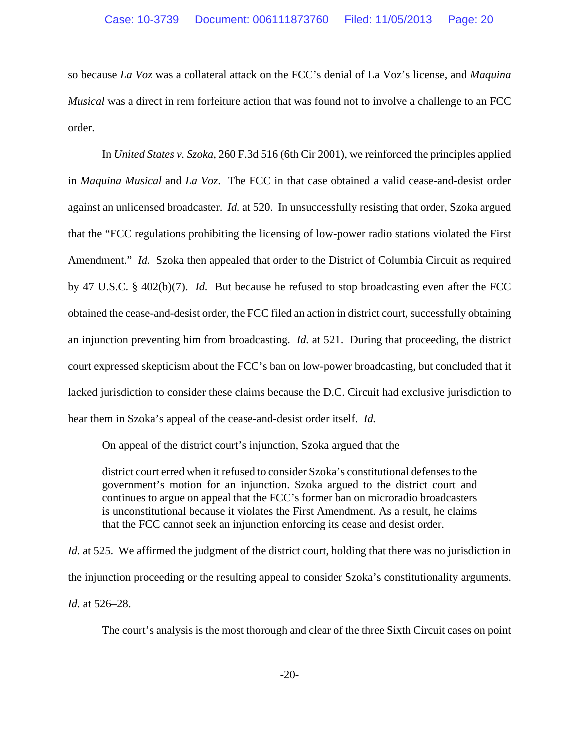so because *La Voz* was a collateral attack on the FCC's denial of La Voz's license, and *Maquina Musical* was a direct in rem forfeiture action that was found not to involve a challenge to an FCC order.

In *United States v. Szoka*, 260 F.3d 516 (6th Cir 2001), we reinforced the principles applied in *Maquina Musical* and *La Voz*. The FCC in that case obtained a valid cease-and-desist order against an unlicensed broadcaster. *Id.* at 520. In unsuccessfully resisting that order, Szoka argued that the "FCC regulations prohibiting the licensing of low-power radio stations violated the First Amendment." *Id.* Szoka then appealed that order to the District of Columbia Circuit as required by 47 U.S.C. § 402(b)(7). *Id.* But because he refused to stop broadcasting even after the FCC obtained the cease-and-desist order, the FCC filed an action in district court, successfully obtaining an injunction preventing him from broadcasting. *Id.* at 521. During that proceeding, the district court expressed skepticism about the FCC's ban on low-power broadcasting, but concluded that it lacked jurisdiction to consider these claims because the D.C. Circuit had exclusive jurisdiction to hear them in Szoka's appeal of the cease-and-desist order itself. *Id.*

On appeal of the district court's injunction, Szoka argued that the

district court erred when it refused to consider Szoka's constitutional defenses to the government's motion for an injunction. Szoka argued to the district court and continues to argue on appeal that the FCC's former ban on microradio broadcasters is unconstitutional because it violates the First Amendment. As a result, he claims that the FCC cannot seek an injunction enforcing its cease and desist order.

*Id.* at 525. We affirmed the judgment of the district court, holding that there was no jurisdiction in the injunction proceeding or the resulting appeal to consider Szoka's constitutionality arguments. *Id.* at 526–28.

The court's analysis is the most thorough and clear of the three Sixth Circuit cases on point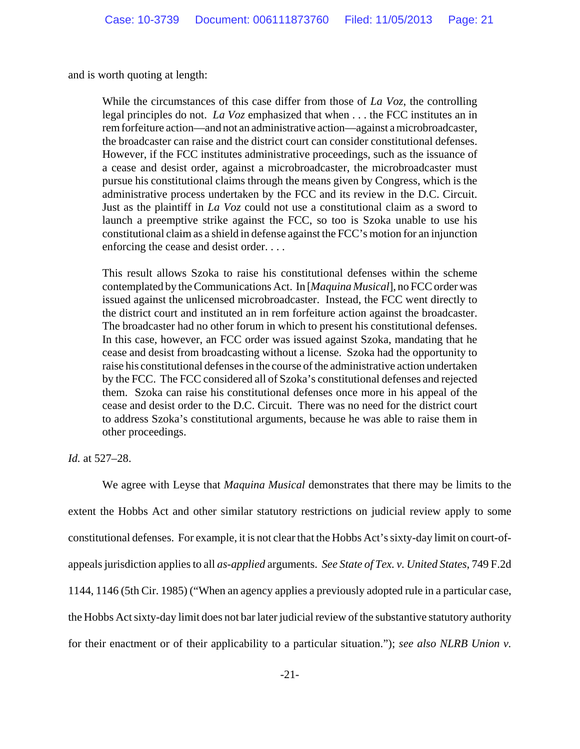and is worth quoting at length:

While the circumstances of this case differ from those of *La Voz*, the controlling legal principles do not. *La Voz* emphasized that when . . . the FCC institutes an in rem forfeiture action—and not an administrative action—against a microbroadcaster, the broadcaster can raise and the district court can consider constitutional defenses. However, if the FCC institutes administrative proceedings, such as the issuance of a cease and desist order, against a microbroadcaster, the microbroadcaster must pursue his constitutional claims through the means given by Congress, which is the administrative process undertaken by the FCC and its review in the D.C. Circuit. Just as the plaintiff in *La Voz* could not use a constitutional claim as a sword to launch a preemptive strike against the FCC, so too is Szoka unable to use his constitutional claim as a shield in defense against the FCC's motion for an injunction enforcing the cease and desist order. . . .

This result allows Szoka to raise his constitutional defenses within the scheme contemplated by the Communications Act. In [*Maquina Musical*], no FCC order was issued against the unlicensed microbroadcaster. Instead, the FCC went directly to the district court and instituted an in rem forfeiture action against the broadcaster. The broadcaster had no other forum in which to present his constitutional defenses. In this case, however, an FCC order was issued against Szoka, mandating that he cease and desist from broadcasting without a license. Szoka had the opportunity to raise his constitutional defenses in the course of the administrative action undertaken by the FCC. The FCC considered all of Szoka's constitutional defenses and rejected them. Szoka can raise his constitutional defenses once more in his appeal of the cease and desist order to the D.C. Circuit. There was no need for the district court to address Szoka's constitutional arguments, because he was able to raise them in other proceedings.

*Id.* at 527–28.

We agree with Leyse that *Maquina Musical* demonstrates that there may be limits to the extent the Hobbs Act and other similar statutory restrictions on judicial review apply to some constitutional defenses. For example, it is not clear that the Hobbs Act's sixty-day limit on court-ofappeals jurisdiction applies to all *as-applied* arguments. *See State of Tex. v. United States*, 749 F.2d 1144, 1146 (5th Cir. 1985) ("When an agency applies a previously adopted rule in a particular case, the Hobbs Act sixty-day limit does not bar later judicial review of the substantive statutory authority for their enactment or of their applicability to a particular situation."); *see also NLRB Union v.*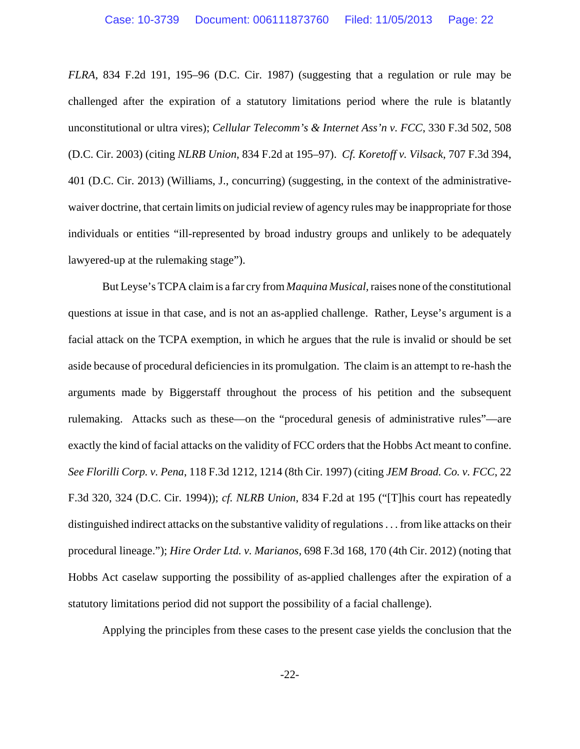*FLRA*, 834 F.2d 191, 195–96 (D.C. Cir. 1987) (suggesting that a regulation or rule may be challenged after the expiration of a statutory limitations period where the rule is blatantly unconstitutional or ultra vires); *Cellular Telecomm's & Internet Ass'n v. FCC*, 330 F.3d 502, 508 (D.C. Cir. 2003) (citing *NLRB Union*, 834 F.2d at 195–97). *Cf. Koretoff v. Vilsack*, 707 F.3d 394, 401 (D.C. Cir. 2013) (Williams, J., concurring) (suggesting, in the context of the administrativewaiver doctrine, that certain limits on judicial review of agency rules may be inappropriate for those individuals or entities "ill-represented by broad industry groups and unlikely to be adequately lawyered-up at the rulemaking stage").

But Leyse's TCPA claim is a far cry from *Maquina Musical,* raises none of the constitutional questions at issue in that case, and is not an as-applied challenge. Rather, Leyse's argument is a facial attack on the TCPA exemption, in which he argues that the rule is invalid or should be set aside because of procedural deficiencies in its promulgation. The claim is an attempt to re-hash the arguments made by Biggerstaff throughout the process of his petition and the subsequent rulemaking. Attacks such as these—on the "procedural genesis of administrative rules"—are exactly the kind of facial attacks on the validity of FCC orders that the Hobbs Act meant to confine. *See Florilli Corp. v. Pena*, 118 F.3d 1212, 1214 (8th Cir. 1997) (citing *JEM Broad. Co. v. FCC*, 22 F.3d 320, 324 (D.C. Cir. 1994)); *cf. NLRB Union*, 834 F.2d at 195 ("[T]his court has repeatedly distinguished indirect attacks on the substantive validity of regulations . . . from like attacks on their procedural lineage."); *Hire Order Ltd. v. Marianos,* 698 F.3d 168, 170 (4th Cir. 2012) (noting that Hobbs Act caselaw supporting the possibility of as-applied challenges after the expiration of a statutory limitations period did not support the possibility of a facial challenge).

Applying the principles from these cases to the present case yields the conclusion that the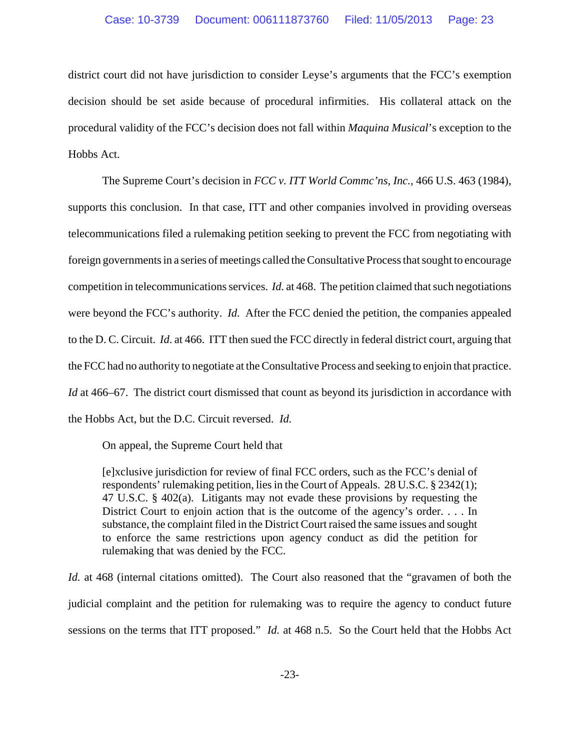district court did not have jurisdiction to consider Leyse's arguments that the FCC's exemption decision should be set aside because of procedural infirmities. His collateral attack on the procedural validity of the FCC's decision does not fall within *Maquina Musical*'s exception to the Hobbs Act.

The Supreme Court's decision in *FCC v. ITT World Commc'ns, Inc.,* 466 U.S. 463 (1984), supports this conclusion. In that case, ITT and other companies involved in providing overseas telecommunications filed a rulemaking petition seeking to prevent the FCC from negotiating with foreign governments in a series of meetings called the Consultative Process that sought to encourage competition in telecommunications services. *Id.* at 468. The petition claimed that such negotiations were beyond the FCC's authority. *Id.* After the FCC denied the petition, the companies appealed to the D. C. Circuit. *Id*. at 466. ITT then sued the FCC directly in federal district court, arguing that the FCC had no authority to negotiate at the Consultative Process and seeking to enjoin that practice. *Id* at 466–67. The district court dismissed that count as beyond its jurisdiction in accordance with the Hobbs Act, but the D.C. Circuit reversed. *Id.*

On appeal, the Supreme Court held that

[e]xclusive jurisdiction for review of final FCC orders, such as the FCC's denial of respondents' rulemaking petition, lies in the Court of Appeals. 28 U.S.C. § 2342(1); 47 U.S.C. § 402(a). Litigants may not evade these provisions by requesting the District Court to enjoin action that is the outcome of the agency's order. . . . In substance, the complaint filed in the District Court raised the same issues and sought to enforce the same restrictions upon agency conduct as did the petition for rulemaking that was denied by the FCC.

*Id.* at 468 (internal citations omitted). The Court also reasoned that the "gravamen of both the judicial complaint and the petition for rulemaking was to require the agency to conduct future sessions on the terms that ITT proposed." *Id.* at 468 n.5. So the Court held that the Hobbs Act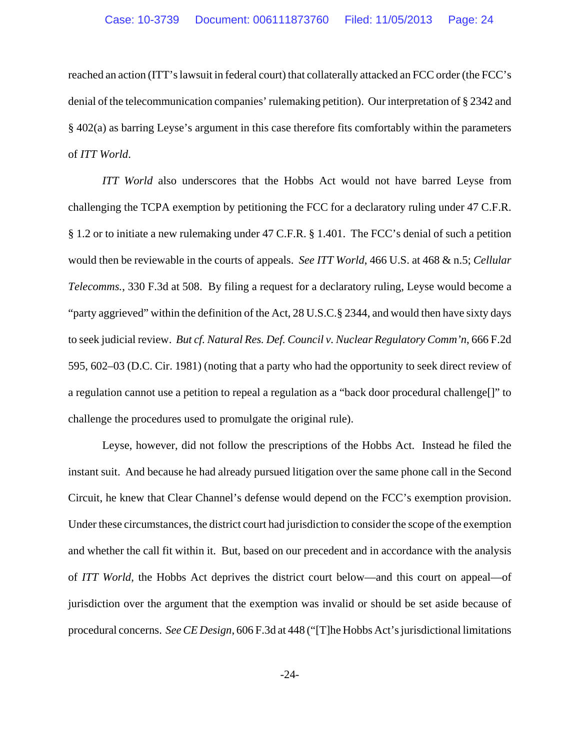reached an action (ITT's lawsuit in federal court) that collaterally attacked an FCC order (the FCC's denial of the telecommunication companies' rulemaking petition). Our interpretation of § 2342 and § 402(a) as barring Leyse's argument in this case therefore fits comfortably within the parameters of *ITT World*.

*ITT World* also underscores that the Hobbs Act would not have barred Leyse from challenging the TCPA exemption by petitioning the FCC for a declaratory ruling under 47 C.F.R. § 1.2 or to initiate a new rulemaking under 47 C.F.R. § 1.401. The FCC's denial of such a petition would then be reviewable in the courts of appeals. *See ITT World*, 466 U.S. at 468 & n.5; *Cellular Telecomms.*, 330 F.3d at 508. By filing a request for a declaratory ruling, Leyse would become a "party aggrieved" within the definition of the Act, 28 U.S.C.§ 2344, and would then have sixty days to seek judicial review. *But cf. Natural Res. Def. Council v. Nuclear Regulatory Comm'n*, 666 F.2d 595, 602–03 (D.C. Cir. 1981) (noting that a party who had the opportunity to seek direct review of a regulation cannot use a petition to repeal a regulation as a "back door procedural challenge[]" to challenge the procedures used to promulgate the original rule).

Leyse, however, did not follow the prescriptions of the Hobbs Act. Instead he filed the instant suit. And because he had already pursued litigation over the same phone call in the Second Circuit, he knew that Clear Channel's defense would depend on the FCC's exemption provision. Under these circumstances, the district court had jurisdiction to consider the scope of the exemption and whether the call fit within it. But, based on our precedent and in accordance with the analysis of *ITT World*, the Hobbs Act deprives the district court below—and this court on appeal—of jurisdiction over the argument that the exemption was invalid or should be set aside because of procedural concerns. *See CE Design*, 606 F.3d at 448 ("[T]he Hobbs Act's jurisdictional limitations